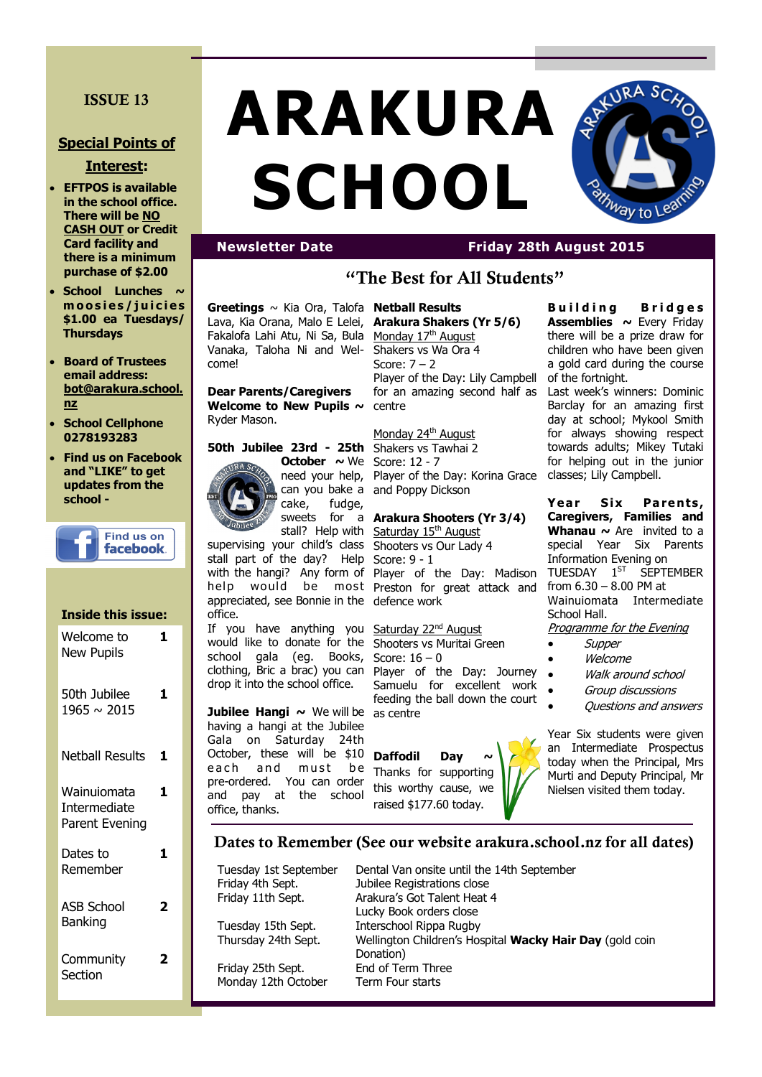# **ISSUE 13**

# **Special Points of**

## **Interest:**

- **EFTPOS is available in the school office. There will be NO CASH OUT or Credit Card facility and there is a minimum purchase of \$2.00**
- **School Lunches**  $\sim$ **m o o s i e s / j u i c i e s \$1.00 ea Tuesdays/ Thursdays**
- **Board of Trustees email address: bot@arakura.school. nz**
- **School Cellphone 0278193283**
- **Find us on Facebook and "LIKE" to get updates from the school -**



#### **Inside this issue:** Welcome to New Pupils **1**

| 50th Jubilee<br>1965 ~ 2015                   |   |
|-----------------------------------------------|---|
| <b>Netball Results</b>                        | 1 |
| Wainuiomata<br>Intermediate<br>Parent Evening | 1 |
| Dates to<br>Remember                          |   |
| <b>ASB School</b><br>Banking                  |   |
| Community<br>Section                          |   |

# **ARAKURA SCHOOL**



# **Newsletter Date Friday 28th August 2015**

# **"The Best for All Students"**

**Greetings** ~ Kia Ora, Talofa Lava, Kia Orana, Malo E Lelei, Fakalofa Lahi Atu, Ni Sa, Bula Vanaka, Taloha Ni and Welcome!

**Dear Parents/Caregivers Welcome to New Pupils ~**  Ryder Mason.

### **50th Jubilee 23rd - 25th October ~** We Score: 12 - 7 need your help,

cake, fudge,

stall? Help with supervising your child's class stall part of the day? Help with the hangi? Any form of appreciated, see Bonnie in the defence work office.

If you have anything you would like to donate for the Shooters vs Muritai Green school gala (eg. Books, clothing, Bric a brac) you can drop it into the school office.

**Jubilee Hangi ~** We will be as centre having a hangi at the Jubilee Gala on Saturday 24th October, these will be \$10 each and must be pre-ordered. You can order and pay at the school office, thanks.

#### **Netball Results Arakura Shakers (Yr 5/6)** Monday 17<sup>th</sup> August

Shakers vs Wa Ora 4 Score: 7 – 2 Player of the Day: Lily Campbell for an amazing second half as centre

Monday 24<sup>th</sup> August Shakers vs Tawhai 2

can you bake a and Poppy Dickson Player of the Day: Korina Grace

#### sweets for a **Arakura Shooters (Yr 3/4)**

help would be most Preston for great attack and Saturday 15<sup>th</sup> August Shooters vs Our Lady 4 Score: 9 - 1 Player of the Day: Madison

> Saturday 22<sup>nd</sup> August Score: 16 – 0 Player of the Day: Journey Samuelu for excellent work feeding the ball down the court

Daffodil Day Thanks for supporting

this worthy cause, we raised \$177.60 today.

**B u i l d i n g B r i d g e s Assemblies ~** Every Friday there will be a prize draw for children who have been given a gold card during the course of the fortnight.

Last week's winners: Dominic Barclay for an amazing first day at school; Mykool Smith for always showing respect towards adults; Mikey Tutaki for helping out in the junior classes; Lily Campbell.

**Year Six Parents, Caregivers, Families and Whanau ~** Are invited to a special Year Six Parents Information Evening on TUESDAY 1<sup>ST</sup> SFPTFMRFR from 6.30 – 8.00 PM at Wainuiomata Intermediate School Hall.

Programme for the Evening

- Supper
- Welcome
- Walk around school
- Group discussions
- Questions and answers

Year Six students were given an Intermediate Prospectus today when the Principal, Mrs Murti and Deputy Principal, Mr Nielsen visited them today.

**Dates to Remember (See our website arakura.school.nz for all dates)**

Friday 25th Sept. End of Term Three Monday 12th October Term Four starts

Tuesday 1st September Dental Van onsite until the 14th September<br>Friday 4th Sept. Jubilee Registrations close Jubilee Registrations close Friday 11th Sept. Arakura's Got Talent Heat 4 Lucky Book orders close Tuesday 15th Sept. Interschool Rippa Rugby Thursday 24th Sept. Wellington Children's Hospital **Wacky Hair Day** (gold coin Donation)